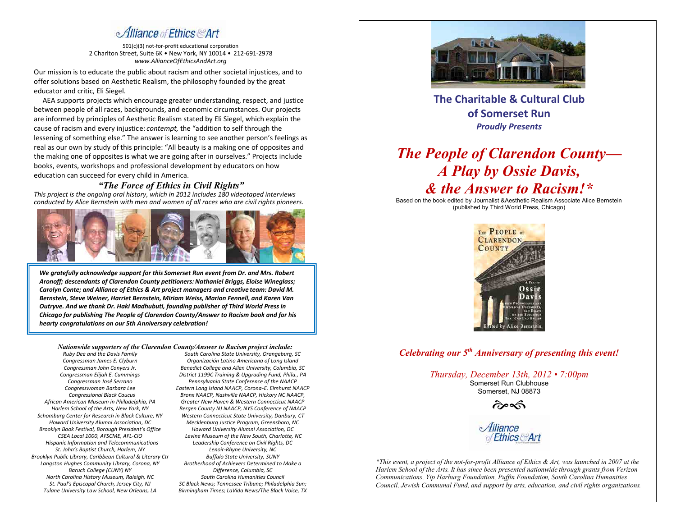# Alliance of Ethics Art

501(c)(3) not-for-profit educational corporation 2 Charlton Street, Suite 6K • New York, NY 10014 • 212-691-2978 *www.AllianceOfEthicsAndArt.org*

Our mission is to educate the public about racism and other societal injustices, and to offer solutions based on Aesthetic Realism, the philosophy founded by the great educator and critic, Eli Siegel.

 AEA supports projects which encourage greater understanding, respect, and justice between people of all races, backgrounds, and economic circumstances. Our projects are informed by principles of Aesthetic Realism stated by Eli Siegel, which explain the cause of racism and every injustice: *contempt,* the "addition to self through the lessening of something else." The answer is learning to see another person's feelings as real as our own by study of this principle: "All beauty is a making one of opposites and the making one of opposites is what we are going after in ourselves." Projects include books, events, workshops and professional development by educators on how education can succeed for every child in America.

#### *"The Force of Ethics in Civil Rights"*

*This project is the ongoing oral history, which in 2012 includes 180 videotaped interviews conducted by Alice Bernstein with men and women of all races who are civil rights pioneers.* 



*We gratefully acknowledge support for this Somerset Run event from Dr. and Mrs. Robert Aronoff; descendants of Clarendon County petitioners: Nathaniel Briggs, Eloise Wineglass; Carolyn Conte; and Alliance of Ethics & Art project managers and creative team: David M. Bernstein, Steve Weiner, Harriet Bernstein, Miriam Weiss, Marion Fennell, and Karen Van Outryve. And we thank Dr. Haki Madhubuti, founding publisher of Third World Press in Chicago for publishing The People of Clarendon County/Answer to Racism book and for his hearty congratulations on our 5th Anniversary celebration!* 

*Nationwide supporters of the Clarendon County/Answer to Racism project include:*

*Ruby Dee and the Davis Family Congressman James E. Clyburn Congressman John Conyers Jr. Congressman Elijah E. Cummings Congressman José Serrano Congresswoman Barbara Lee Congressional Black Caucus African American Museum in Philadelphia, PA Harlem School of the Arts, New York, NY Schomburg Center for Research in Black Culture, NY Howard University Alumni Association, DC Brooklyn Book Festival, Borough President's Office CSEA Local 1000, AFSCME, AFL-CIO Hispanic Information and Telecommunications St. John's Baptist Church, Harlem, NY Brooklyn Public Library, Caribbean Cultural & Literary Ctr Langston Hughes Community Library, Corona, NY Baruch College (CUNY) NY North Carolina History Museum, Raleigh, NC St. Paul's Episcopal Church, Jersey City, NJ Tulane University Law School, New Orleans, LA*

*South Carolina State University, Orangeburg, SC Organización Latino Americana of Long Island Benedict College and Allen University, Columbia, SC District 1199C Training & Upgrading Fund, Phila., PA Pennsylvania State Conference of the NAACP Eastern Long Island NAACP, Corona-E. Elmhurst NAACP Bronx NAACP, Nashville NAACP, Hickory NC NAACP, Greater New Haven & Western Connecticut NAACP Bergen County NJ NAACP, NYS Conference of NAACP Western Connecticut State University, Danbury, CT Mecklenburg Justice Program, Greensboro, NC Howard University Alumni Association, DC Levine Museum of the New South, Charlotte, NC Leadership Conference on Civil Rights, DC Lenoir-Rhyne University, NC Buffalo State University, SUNY Brotherhood of Achievers Determined to Make a Difference, Columbia, SC South Carolina Humanities Council SC Black News; Tennessee Tribune; Philadelphia Sun; Birmingham Times; LaVida News/The Black Voice, TX*



**The Charitable & Cultural Club of Somerset Run**  *Proudly Presents*

# *The People of Clarendon County— A Play by Ossie Davis, & the Answer to Racism!\**

Based on the book edited by Journalist &Aesthetic Realism Associate Alice Bernstein (published by Third World Press, Chicago)



*Celebrating our 5th Anniversary of presenting this event!*

*Thursday, December 13th, 2012 • 7:00pm* Somerset Run Clubhouse Somerset, NJ 08873

কৈ∝কি



*\*This event, a project of the not-for-profit Alliance of Ethics & Art, was launched in 2007 at the Harlem School of the Arts. It has since been presented nationwide through grants from Verizon Communications, Yip Harburg Foundation, Puffin Foundation, South Carolina Humanities Council, Jewish Communal Fund, and support by arts, education, and civil rights organizations.*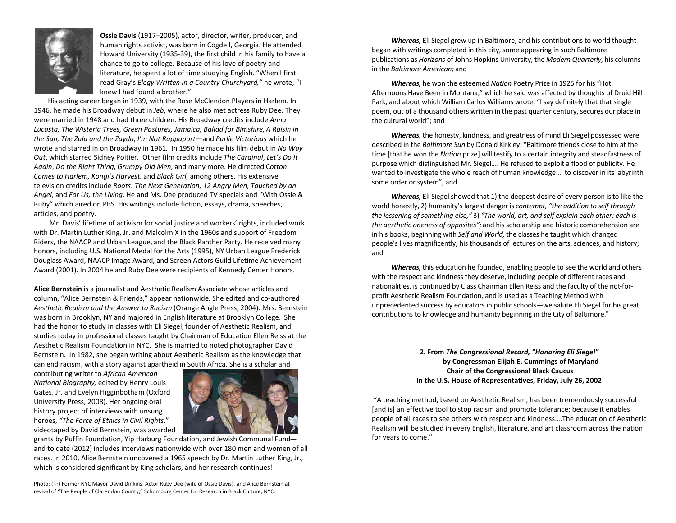

**Ossie Davis** (1917–2005), actor, director, writer, producer, and human rights activist, was born in Cogdell, Georgia. He attended Howard University (1935-39), the first child in his family to have a chance to go to college. Because of his love of poetry and literature, he spent a lot of time studying English. "When I first read Gray's *Elegy Written in a Country Churchyard,"* he wrote, "I knew I had found a brother."

 His acting career began in 1939, with the Rose McClendon Players in Harlem. In 1946, he made his Broadway debut in *Jeb*, where he also met actress Ruby Dee. They were married in 1948 and had three children. His Broadway credits include *Anna Lucasta, The Wisteria Trees, Green Pastures, Jamaica, Ballad for Bimshire, A Raisin in the Sun, The Zulu and the Zayda, I'm Not Rappaport—*and *Purlie Victorious* which he wrote and starred in on Broadway in 1961. In 1950 he made his film debut in *No Way Out*, which starred Sidney Poitier. Other film credits include *The Cardinal*, *Let's Do It Again*, *Do the Right Thing*, *Grumpy Old Men,* and many more. He directed C*otton Comes to Harlem, Kongi's Harvest,* and *Black Girl,* among others. His extensive television credits include *Roots: The Next Generation*, *12 Angry Men*, *Touched by an Angel*, and *For Us, the Living*. He and Ms. Dee produced TV specials and "With Ossie & Ruby" which aired on PBS. His writings include fiction, essays, drama, speeches, articles, and poetry.

Mr. Davis' lifetime of activism for social justice and workers' rights, included work with Dr. Martin Luther King, Jr. and Malcolm X in the 1960s and support of Freedom Riders, the NAACP and Urban League, and the Black Panther Party. He received many honors, including U.S. National Medal for the Arts (1995), NY Urban League Frederick Douglass Award, NAACP Image Award, and Screen Actors Guild Lifetime Achievement Award (2001). In 2004 he and Ruby Dee were recipients of Kennedy Center Honors.

**Alice Bernstein** is a journalist and Aesthetic Realism Associate whose articles and column, "Alice Bernstein & Friends," appear nationwide. She edited and co-authored *Aesthetic Realism and the Answer to Racism* (Orange Angle Press, 2004). Mrs. Bernstein was born in Brooklyn, NY and majored in English literature at Brooklyn College. She had the honor to study in classes with Eli Siegel, founder of Aesthetic Realism, and studies today in professional classes taught by Chairman of Education Ellen Reiss at the Aesthetic Realism Foundation in NYC. She is married to noted photographer David Bernstein. In 1982, she began writing about Aesthetic Realism as the knowledge that can end racism, with a story against apartheid in South Africa. She is a scholar and

contributing writer to *African American National Biography,* edited by Henry Louis Gates, Jr. and Evelyn Higginbotham (Oxford University Press, 2008). Her ongoing oral history project of interviews with unsung heroes, *"The Force of Ethics in Civil Rights*," videotaped by David Bernstein, was awarded



grants by Puffin Foundation, Yip Harburg Foundation, and Jewish Communal Fund and to date (2012) includes interviews nationwide with over 180 men and women of all races. In 2010, Alice Bernstein uncovered a 1965 speech by Dr. Martin Luther King, Jr., which is considered significant by King scholars, and her research continues!

Photo: (l-r) Former NYC Mayor David Dinkins, Actor Ruby Dee (wife of Ossie Davis), and Alice Bernstein at revival of "The People of Clarendon County," Schomburg Center for Research in Black Culture, NYC.

*Whereas,* Eli Siegel grew up in Baltimore, and his contributions to world thought began with writings completed in this city, some appearing in such Baltimore publications as *Horizons* of Johns Hopkins University, the *Modern Quarterly,* his columns in the *Baltimore American;* and

*Whereas,* he won the esteemed *Nation* Poetry Prize in 1925 for his "Hot Afternoons Have Been in Montana," which he said was affected by thoughts of Druid Hill Park, and about which William Carlos Williams wrote, "I say definitely that that single poem, out of a thousand others written in the past quarter century, secures our place in the cultural world"; and

*Whereas,* the honesty, kindness, and greatness of mind Eli Siegel possessed were described in the *Baltimore Sun* by Donald Kirkley: "Baltimore friends close to him at the time [that he won the *Nation* prize] will testify to a certain integrity and steadfastness of purpose which distinguished Mr. Siegel.... He refused to exploit a flood of publicity. He wanted to investigate the whole reach of human knowledge ... to discover in its labyrinth some order or system"; and

*Whereas,* Eli Siegel showed that 1) the deepest desire of every person is to like the world honestly, 2) humanity's largest danger is *contempt, "the addition to self through the lessening of something else,"* 3) *"The world, art, and self explain each other: each is the aesthetic oneness of opposites";* and his scholarship and historic comprehension are in his books, beginning with *Self and World,* the classes he taught which changed people's lives magnificently, his thousands of lectures on the arts, sciences, and history; and

*Whereas,* this education he founded, enabling people to see the world and others with the respect and kindness they deserve, including people of different races and nationalities, is continued by Class Chairman Ellen Reiss and the faculty of the not-forprofit Aesthetic Realism Foundation, and is used as a Teaching Method with unprecedented success by educators in public schools—we salute Eli Siegel for his great contributions to knowledge and humanity beginning in the City of Baltimore."

> **2. From** *The Congressional Record, "Honoring Eli Siegel"* **by Congressman Elijah E. Cummings of Maryland Chair of the Congressional Black Caucus In the U.S. House of Representatives, Friday, July 26, 2002**

"A teaching method, based on Aesthetic Realism, has been tremendously successful [and is] an effective tool to stop racism and promote tolerance; because it enables people of all races to see others with respect and kindness….The education of Aesthetic Realism will be studied in every English, literature, and art classroom across the nation for years to come."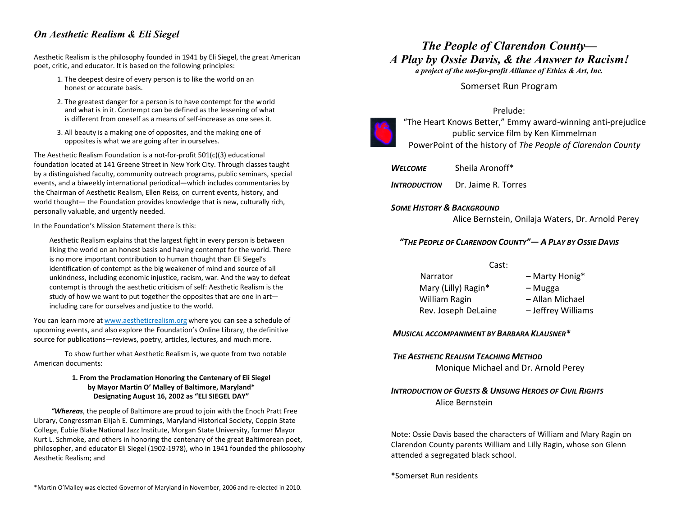## *On Aesthetic Realism & Eli Siegel*

Aesthetic Realism is the philosophy founded in 1941 by Eli Siegel, the great American poet, critic, and educator. It is based on the following principles:

- 1. The deepest desire of every person is to like the world on an honest or accurate basis.
- 2. The greatest danger for a person is to have contempt for the world and what is in it. Contempt can be defined as the lessening of what is different from oneself as a means of self-increase as one sees it.
- 3. All beauty is a making one of opposites, and the making one of opposites is what we are going after in ourselves.

The Aesthetic Realism Foundation is a not-for-profit 501(c)(3) educational foundation located at 141 Greene Street in New York City. Through classes taught by a distinguished faculty, community outreach programs, public seminars, special events, and a biweekly international periodical—which includes commentaries by the Chairman of Aesthetic Realism, Ellen Reiss, on current events, history, and world thought— the Foundation provides knowledge that is new, culturally rich, personally valuable, and urgently needed.

In the Foundation's Mission Statement there is this:

Aesthetic Realism explains that the largest fight in every person is between liking the world on an honest basis and having contempt for the world. There is no more important contribution to human thought than Eli Siegel's identification of contempt as the big weakener of mind and source of all unkindness, including economic injustice, racism, war. And the way to defeat contempt is through the aesthetic criticism of self: Aesthetic Realism is the study of how we want to put together the opposites that are one in art including care for ourselves and justice to the world.

You can learn more at www.aestheticrealism.org where you can see a schedule of upcoming events, and also explore the Foundation's Online Library, the definitive source for publications—reviews, poetry, articles, lectures, and much more.

To show further what Aesthetic Realism is, we quote from two notable American documents:

#### **1. From the Proclamation Honoring the Centenary of Eli Siegel by Mayor Martin O' Malley of Baltimore, Maryland\* Designating August 16, 2002 as "ELI SIEGEL DAY"**

*"Whereas*, the people of Baltimore are proud to join with the Enoch Pratt Free Library, Congressman Elijah E. Cummings, Maryland Historical Society, Coppin State College, Eubie Blake National Jazz Institute, Morgan State University, former Mayor Kurt L. Schmoke, and others in honoring the centenary of the great Baltimorean poet, philosopher, and educator Eli Siegel (1902-1978), who in 1941 founded the philosophy Aesthetic Realism; and

# *The People of Clarendon County— A Play by Ossie Davis, & the Answer to Racism!*

*a project of the not-for-profit Alliance of Ethics & Art, Inc.*

Somerset Run Program

#### Prelude:



"The Heart Knows Better," Emmy award-winning anti-prejudice public service film by Ken Kimmelman PowerPoint of the history of *The People of Clarendon County*

*WELCOME* Sheila Aronoff\*

*INTRODUCTION* Dr. Jaime R. Torres

#### *SOME HISTORY & BACKGROUND*

Alice Bernstein, Onilaja Waters, Dr. Arnold Perey

### *"THE PEOPLE OF CLARENDON COUNTY"— A PLAY BY OSSIE DAVIS*

| Cast:               |                    |
|---------------------|--------------------|
| Narrator            | - Marty Honig*     |
| Mary (Lilly) Ragin* | – Mugga            |
| William Ragin       | – Allan Michael    |
| Rev. Joseph DeLaine | - Jeffrey Williams |

#### *MUSICAL ACCOMPANIMENT BY BARBARA KLAUSNER\**

#### *THE AESTHETIC REALISM TEACHING METHOD*

Monique Michael and Dr. Arnold Perey

### *INTRODUCTION OF GUESTS & UNSUNG HEROES OF CIVIL RIGHTS* Alice Bernstein

Note: Ossie Davis based the characters of William and Mary Ragin on Clarendon County parents William and Lilly Ragin, whose son Glenn attended a segregated black school.

\*Somerset Run residents